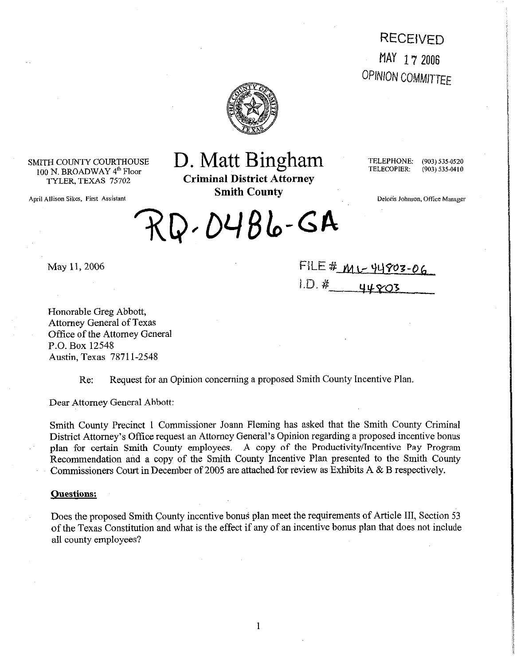**RECEIVED** MAY 17 2006 **OPINION COMMITTEE** 



SMITH COUNTY COURTHOUSE 100 N. BROADWAY 4<sup>th</sup> Floor<br>TYLER, TEXAS 75702

April Allison Sikes, First Assistant

# D. Matt Bingham

**Criminal District Attorney Smith County** 

TELEPHONE: TELECOPIER:

(903) 535-0520  $(903) 535 - 0410$ 

Deloris Johnson, Office Manager

 $RQ.04Bb-GA$ 

May 11, 2006

FILE #  $M1 - \frac{44803 - 06}{44803}$ 

Honorable Greg Abbott, **Attorney** General of Texas Office of the Attorney General P.O. Box 12548 Austin, Texas 7871 l-2548

Re: Request for an Opinion concerning a proposed Smith County Incentive Plan.

Dear Attorney General Abbott:

Smith County Precinct 1 Commissioner Joann Fleming has asked that the Smith County Criminal District Attorney's Office request an Attorney General's Opinion regarding a proposed incentive bonus plan for certain Smith County employees. A copy of the Productivity/Incentive Pay Program Recommendation and a copy of the Smith County Incentive Plan presented to the Smith County Commissioners Court in December of 2005 are attached. for review as Exhibits A & B respectively.

#### **Ouestions:**

Does the proposed Smith County incentive bonus plan meet the requirements of Article III, Section 53 of the Texas Constitution and what is the effect if any of an incentive bonus plan that does not include all county employees?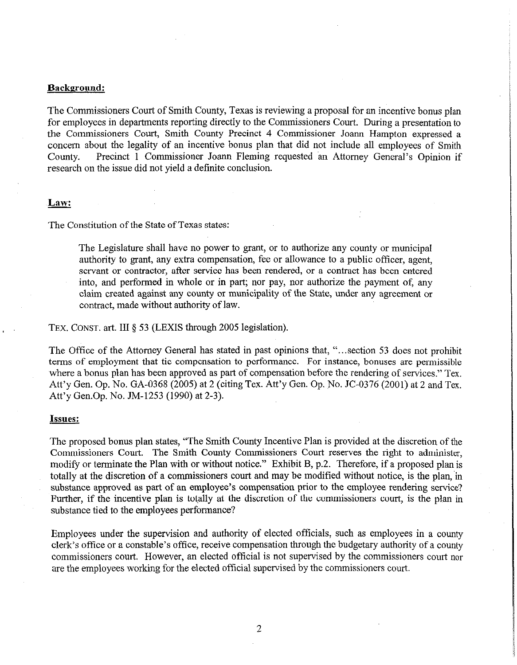#### **Backeround:**

The Commissioners Court of Smith County, Texas is reviewing a proposal for an incentive bonus plan for employees in departments reporting directly to the Commissioners Court. During a presentation to the Commissioners Court, Smith County Precinct 4 Commissioner Joann Hampton expressed a concern about the legality of an incentive bonus plan that did not include all employees of Smith county. Precinct 1 Commissioner Joann Fleming requested an Attorney General's Opinion if research on the issue did not yield a definite conclusion.

### Law:

The Constitution of the State of Texas states:

The Legislature shall have no power to grant, or to authorize any county or municipal authority to grant, any extra compensation, fee or allowance to a public officer, agent, servant or contractor, after service has been rendered, or a contract has been entered into, and performed in whole or in part; nor pay, nor authorize the payment of, any claim created against any county or municipality of the State, under any agreement or contract, made without authority of law.

TEX. CONST. art. III § 53 (LEXIS through 2005 legislation).

The Office of the Attorney General has stated in past opinions that, "...section 53 does not prohibit terms of employment that tie compensation to performance. For instance, bonuses are permissible where a bonus plan has been approved as part of compensation before the rendering of services." Tex. Att'y Gen. Op. No. GA-0368 (2005) at 2 (citing Tex. Att'y Gen. Op. No. JC-0376 (2001) at 2 and Tex. Att'y Gen.Op. No. JM-1253 (1990) at 2-3).

#### Issues:

The proposed bonus plan states, "The Smith County Incentive Plan is provided at the discretion of the Commissioners Court. The Smith County Commissioners Court reserves the right to administer, modify or terminate the Plan with or without notice." Exhibit B, p.2. Therefore, if a proposed plan is totally at the discretion of a commissioners court and may be modified without notice, is the plan, in substance approved as part of an employee's compensation prior to the employee rendering service? Further, if the incentive plan is totally at the discretion of the commissioners court, is the plan in substance tied to the employees performance?

Employees under the supervision and authority of elected officials, such as employees in a county clerk's office or a constable's office, receive compensation through the budgetary authority of a county commissioners court. However, an elected official is not supervised by the commissioners court nor are the employees working for the elected official supervised by the commissioners court.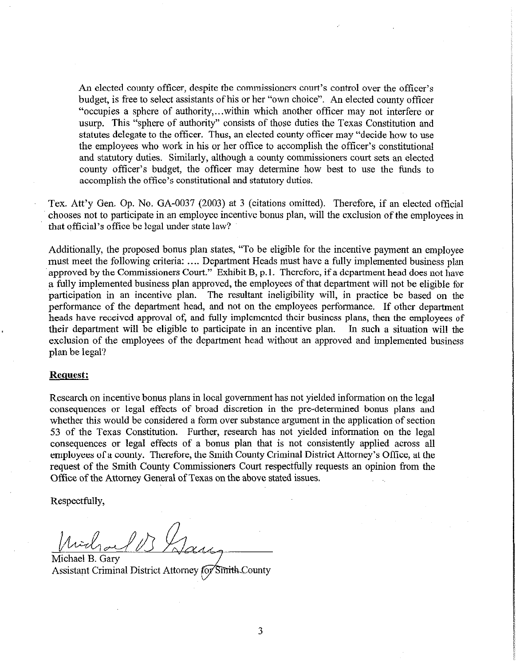An elected county officer, despite the commissioners court's control over the officer's budget, is free to select assistants of his or her "own choice". An elected county officer "occupies a sphere of authority,...within which another officer may not interfere or usurp. This "sphere of authority" consists of those duties the Texas Constitution and statutes delegate to the officer. Thus, an elected county officer may "decide how to use the employees who work in his or her office to accomplish the officer's constitutional and statutory duties. Similarly, although a county commissioners court sets an elected county officer's budget, the officer may determine how best to use the funds to accomplish the office's constitutional and statutory duties.

Tex. Att'y Gen. Op. No. GA-0037 (2003) at 3 (citations omitted). Therefore, if an elected official chooses not to participate in an employee incentive bonus plan, will the exclusion of the employees in that official's office be legal under state law?

Additionally, the proposed bonus plan states, "To be eligible for the incentive payment an employee must meet the following criteria: .... Department Heads must have a fully implemented business plan approved by the Commissioners Court." Exhibit B, p.1. Therefore, if a department head does not have a fully implemented business plan approved, the employees of that department will not be eligible for participation in an incentive plan. The resultant ineligibility will, in practice be based on the performance of the department head, and not on the employees performance. If other department heads have received approval of, and fully implemented their business plans, then the employees of their department will be eligible to participate in an incentive plan. In such a situation will the exclusion of the employees of the department head without an approved and implemented business plan be legal?

#### **Request:**

Research on incentive bonus plans in local government has not yielded information on the legal consequences or legal effects of broad discretion in the pre-determined bonus plans and whether this would be considered a form over substance argument in the application of section 53 of the Texas Constitution. Further, research has not yielded information on the legal consequences or legal effects of a bonus plan that is not consistently applied across all employees of a county. Therefore, the Smith County Criminal District Attorney's Office, at the request of the Smith County Commissioners Court respectfully requests an opinion from the Office of the Attorney General of Texas on the above stated issues.

Respectfully,

Mid<sub>ra</sub>

Michael B. Gary Assistant Criminal District Attorney for Smith County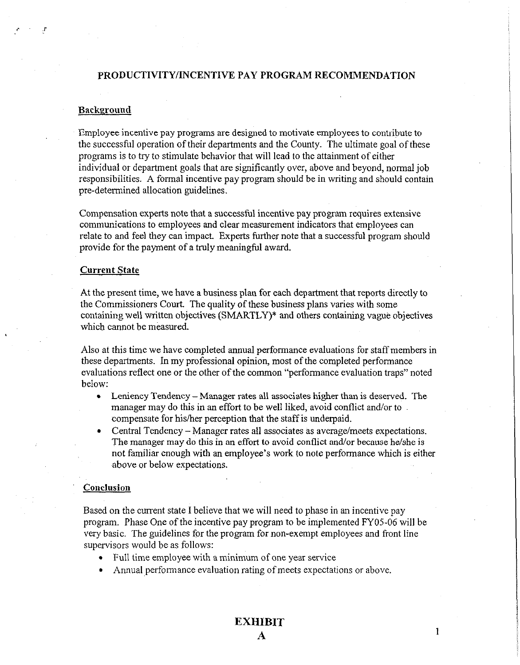# **PRODUCTIVITY/INCENTIVE PAY PROGRAM RECOMMENDATION**

## **Background**

P

Employee incentive pay programs are designed to motivate employees to contribute to the successful operation of their departments and the County. The ultimate goal of these programs is to try to stimulate behavior that will lead to the attainment of either individual or department goals that are significantly over, above and beyond, normal job responsibilities. A formal incentive pay program should be in writing and should contain pre-determined allocation guidelines.

Compensation experts note that a successful incentive pay program requires extensive communications to employees and clear measurement indicators that employees can relate to and feel they can impact. Experts tirther note that a successful program should provide for the payment of a truly meaningful award.

### **Current State**

At the present time, we have a business plan for each department that reports directly to the Commissioners Court. The quality of these business plans varies with some containing well written objectives (SMARTLY)\* and others containing vague objectives which cannot be measured.

Also at this time we have completed annual performance evaluations for staff members in these departments. In my professional opinion, most of the completed performance evaluations reflect one or the other of the common "performance evaluation traps" noted below:

- Leniency Tendency Manager rates all associates higher than is deserved. The manager may do this in an effort to be well liked, avoid conflict and/or to. compensate for his/her perception that the staff is underpaid.
- Central Tendency Manager rates all associates as average/meets expectations. The manager may do this in an effort to avoid conflict and/or because he/she is not familiar enough with an employee's work to note performance which is either above or below expectations.

#### **Conclusion**

Based on the current state I believe that we will need to phase in an incentive pay program. Phase One of the incentive pay program to be implemented FYOS-06 will be very basic. The guidelines for the program for non-exempt employees and front line supervisors would be as follows:

- Full time employee with a minimum of one year service
- Annual performance evaluation rating of meets expectations or above.

 $\mathbf{1}$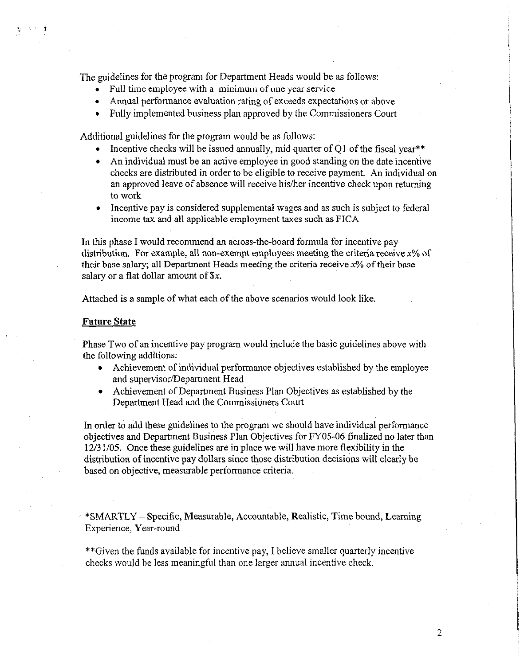The guidelines for the program for Department Heads would be as follows:

- Full time employee with a minimum of one year service
- Annual performance evaluation rating of exceeds expectations or above
- Fully implemented business plan approved by the Commissioners Court

Additional guidelines for the program would be as follows:

- . Incentive checks will be issued annually, mid quarter of Ql of the fiscal year\*\*
- <sup>l</sup>An individual must be an active employee in good standing on the date incentive checks are distributed in order to be eligible to receive payment. An individual on an approved leave of absence will receive his/her incentive check upon returning to work
- <sup>l</sup>Incentive pay is considered supplemental wages and as such is subject to federal income tax and all applicable employment taxes such as FICA

In this phase I would recommend an across-the-board formula for incentive pay distribution. For example, all non-exempt employees meeting the criteria receive  $x\%$  of their base salary; all Department Heads meeting the criteria receive  $x\%$  of their base salary or a flat dollar amount of \$x.

Attached is a sample of what each of the above scenarios would look like.

#### **Future State**

コンティオ

Phase Two of an incentive pay program would include the basic guidelines above with the following additions:

- Achievement of individual performance objectives established by the employee and supervisor/Department Head
- Achievement of Department Business Plan Objectives as established by the Department Head and the Commissioners Court

In order to add these guidelines to the program we should have individual performance objectives and Department Business Plan Objectives for FY05-06 finalized no later than 12/3 l/05. Once these guidelines are in place we will have more flexibility in the distribution of incentive pay dollars since those distribution decisions will clearly be based on objective, measurable performance criteria.

\*SMARTLY-Specific, Measurable, Accountable, Realistic, Time bound, Learning Experience, Year-round

\*\*Given the funds available for incentive pay, I believe smaller quarterly incentive checks would be less meaningful than one larger annual incentive check.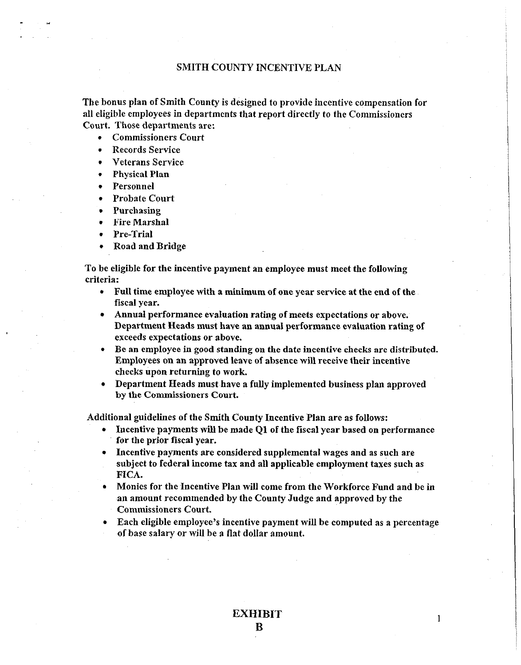## **SMITH COUNTY INCENTIVE PLAN**

**The bonus plan of Smith County is designed to provide incentive compensation for al1 eligible employees in departments that report directly to the Commissioners Court. Those departments are:** 

- <sup>l</sup>**Commissioners Court**
- <sup>l</sup>**Records Service**
- **. Veterans Service**
- **. Physical Plan**
- <sup>l</sup>**Personnel**
- <sup>l</sup>**Probate Court**
- <sup>l</sup>**Purchasing**
- <sup>l</sup>**Fire Marshal**
- <sup>l</sup>**Pre-Trial**
- <sup>l</sup>**Road andBridge**

**To be eligible for the incentive payment an employee must meet the following criteria:** 

- <sup>l</sup>**Full time employee with a minimum of one year service at the end of the fiscal year.**
- <sup>l</sup>**Annual performance evaluation rating of meets expectations or above. Department Heads must have an annual performance evaluation rating of exceeds expectations or above.**
- <sup>l</sup>**Be an employee In good standing on the date incentive checks are distributed. Employees on an approved leave of absence will receive their incentive checks upon returning to work.**
- <sup>l</sup>**Department Heads must.have a fully implemented business plan approved by the Commissioners Court.**

**Additional guidelines of the Smith County Incentive Plan are as follows:** 

- <sup>l</sup>**Incentive payments will be made Ql of the fiscal year based on performance for the prior fiscal year.**
- <sup>l</sup>**Incentive payments are considered supplemental wages and as such are**  subject to federal income tax and all applicable employment taxes such as **FICA.**
- <sup>l</sup>**Monies for the Incentive Plan will come from the Workforce Fund and be in ,an amount recommended by the County Judge and approved by the Commissioners Court.**
- <sup>l</sup>**Each eligible employee's incentive payment wilI be computed as a percentage of base salary or wiII be a flat dollar amount.**

**1**